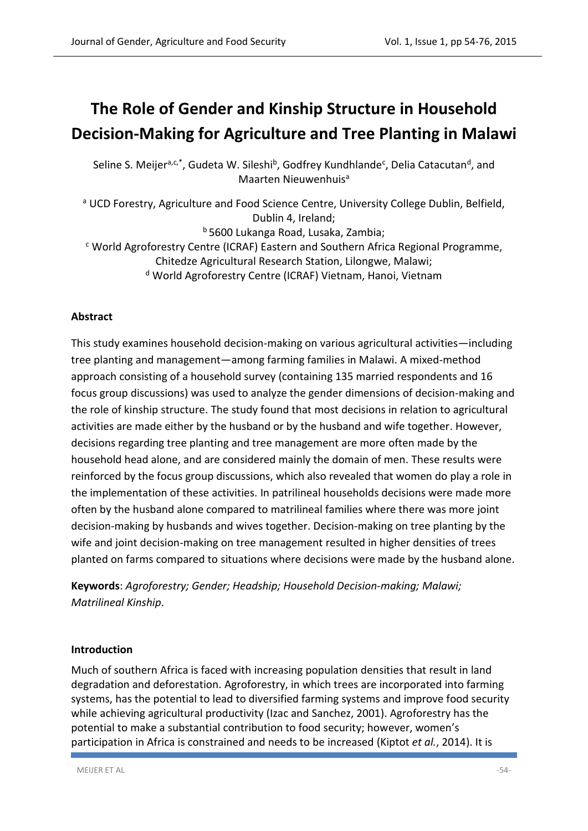# **The Role of Gender and Kinship Structure in Household Decision-Making for Agriculture and Tree Planting in Malawi**

Seline S. Meijer<sup>a,c,\*</sup>, Gudeta W. Sileshi<sup>b</sup>, Godfrey Kundhlande<sup>c</sup>, Delia Catacutan<sup>d</sup>, and Maarten Nieuwenhuis<sup>a</sup>

<sup>a</sup> UCD Forestry, Agriculture and Food Science Centre, University College Dublin, Belfield, Dublin 4, Ireland;

<sup>b</sup> 5600 Lukanga Road, Lusaka, Zambia;

<sup>c</sup> World Agroforestry Centre (ICRAF) Eastern and Southern Africa Regional Programme, Chitedze Agricultural Research Station, Lilongwe, Malawi;

<sup>d</sup> World Agroforestry Centre (ICRAF) Vietnam, Hanoi, Vietnam

# **Abstract**

This study examines household decision-making on various agricultural activities—including tree planting and management—among farming families in Malawi. A mixed-method approach consisting of a household survey (containing 135 married respondents and 16 focus group discussions) was used to analyze the gender dimensions of decision-making and the role of kinship structure. The study found that most decisions in relation to agricultural activities are made either by the husband or by the husband and wife together. However, decisions regarding tree planting and tree management are more often made by the household head alone, and are considered mainly the domain of men. These results were reinforced by the focus group discussions, which also revealed that women do play a role in the implementation of these activities. In patrilineal households decisions were made more often by the husband alone compared to matrilineal families where there was more joint decision-making by husbands and wives together. Decision-making on tree planting by the wife and joint decision-making on tree management resulted in higher densities of trees planted on farms compared to situations where decisions were made by the husband alone.

**Keywords**: *Agroforestry; Gender; Headship; Household Decision-making; Malawi; Matrilineal Kinship*.

# **Introduction**

Much of southern Africa is faced with increasing population densities that result in land degradation and deforestation. Agroforestry, in which trees are incorporated into farming systems, has the potential to lead to diversified farming systems and improve food security while achieving agricultural productivity [\(Izac and Sanchez, 2001\)](#page-20-0). Agroforestry has the potential to make a substantial contribution to food security; however, women's participation in Africa is constrained and needs to be increased (Kiptot *et al.*[, 2014\)](#page-20-1). It is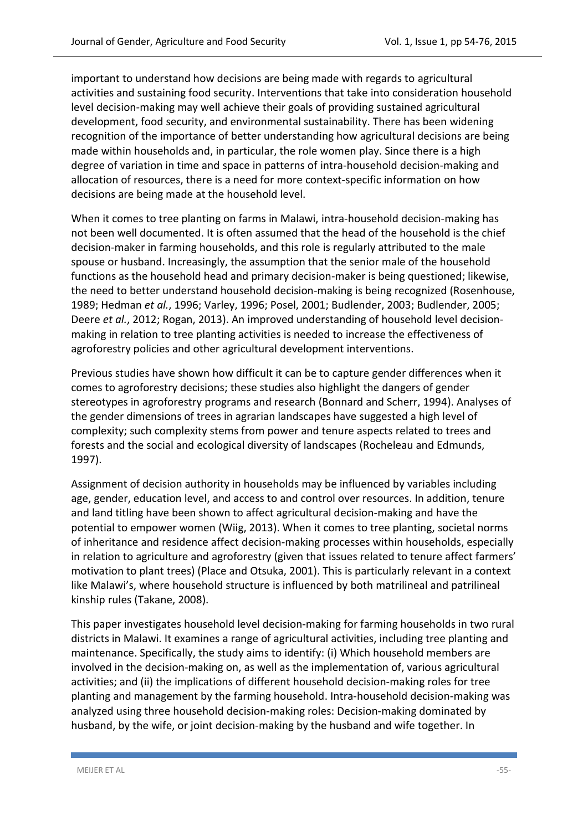important to understand how decisions are being made with regards to agricultural activities and sustaining food security. Interventions that take into consideration household level decision-making may well achieve their goals of providing sustained agricultural development, food security, and environmental sustainability. There has been widening recognition of the importance of better understanding how agricultural decisions are being made within households and, in particular, the role women play. Since there is a high degree of variation in time and space in patterns of intra-household decision-making and allocation of resources, there is a need for more context-specific information on how decisions are being made at the household level.

When it comes to tree planting on farms in Malawi, intra-household decision-making has not been well documented. It is often assumed that the head of the household is the chief decision-maker in farming households, and this role is regularly attributed to the male spouse or husband. Increasingly, the assumption that the senior male of the household functions as the household head and primary decision-maker is being questioned; likewise, the need to better understand household decision-making is being recognized [\(Rosenhouse,](#page-21-0)  [1989;](#page-21-0) [Hedman](#page-20-2) *et al.*, 1996[; Varley, 1996;](#page-22-0) [Posel, 2001;](#page-21-1) [Budlender, 2003;](#page-18-0) [Budlender, 2005;](#page-18-1) Deere *et al.*[, 2012;](#page-19-0) [Rogan, 2013\)](#page-21-2). An improved understanding of household level decisionmaking in relation to tree planting activities is needed to increase the effectiveness of agroforestry policies and other agricultural development interventions.

Previous studies have shown how difficult it can be to capture gender differences when it comes to agroforestry decisions; these studies also highlight the dangers of gender stereotypes in agroforestry programs and research [\(Bonnard and Scherr, 1994\)](#page-18-2). Analyses of the gender dimensions of trees in agrarian landscapes have suggested a high level of complexity; such complexity stems from power and tenure aspects related to trees and forests and the social and ecological diversity of landscapes [\(Rocheleau and Edmunds,](#page-21-3)  [1997\)](#page-21-3).

Assignment of decision authority in households may be influenced by variables including age, gender, education level, and access to and control over resources. In addition, tenure and land titling have been shown to affect agricultural decision-making and have the potential to empower women [\(Wiig, 2013\)](#page-22-1). When it comes to tree planting, societal norms of inheritance and residence affect decision-making processes within households, especially in relation to agriculture and agroforestry (given that issues related to tenure affect farmers' motivation to plant trees) [\(Place and Otsuka, 2001\)](#page-21-4). This is particularly relevant in a context like Malawi's, where household structure is influenced by both matrilineal and patrilineal kinship rules [\(Takane, 2008\)](#page-21-5).

This paper investigates household level decision-making for farming households in two rural districts in Malawi. It examines a range of agricultural activities, including tree planting and maintenance. Specifically, the study aims to identify: (i) Which household members are involved in the decision-making on, as well as the implementation of, various agricultural activities; and (ii) the implications of different household decision-making roles for tree planting and management by the farming household. Intra-household decision-making was analyzed using three household decision-making roles: Decision-making dominated by husband, by the wife, or joint decision-making by the husband and wife together. In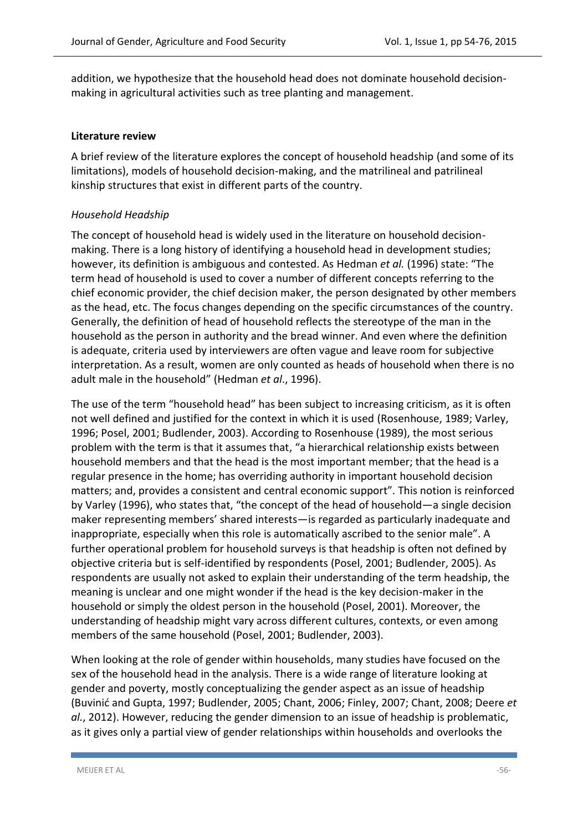addition, we hypothesize that the household head does not dominate household decisionmaking in agricultural activities such as tree planting and management.

#### **Literature review**

A brief review of the literature explores the concept of household headship (and some of its limitations), models of household decision-making, and the matrilineal and patrilineal kinship structures that exist in different parts of the country.

#### *Household Headship*

The concept of household head is widely used in the literature on household decisionmaking. There is a long history of identifying a household head in development studies; however, its definition is ambiguous and contested. As [Hedman](#page-20-2) *et al.* (1996) state: "The term head of household is used to cover a number of different concepts referring to the chief economic provider, the chief decision maker, the person designated by other members as the head, etc. The focus changes depending on the specific circumstances of the country. Generally, the definition of head of household reflects the stereotype of the man in the household as the person in authority and the bread winner. And even where the definition is adequate, criteria used by interviewers are often vague and leave room for subjective interpretation. As a result, women are only counted as heads of household when there is no adult male in the household" (Hedman *et al*., 1996).

The use of the term "household head" has been subject to increasing criticism, as it is often not well defined and justified for the context in which it is used [\(Rosenhouse, 1989;](#page-21-0) [Varley,](#page-22-0)  [1996;](#page-22-0) [Posel, 2001;](#page-21-1) [Budlender, 2003\)](#page-18-0). According to Rosenhouse (1989), the most serious problem with the term is that it assumes that, "a hierarchical relationship exists between household members and that the head is the most important member; that the head is a regular presence in the home; has overriding authority in important household decision matters; and, provides a consistent and central economic support". This notion is reinforced by Varley (1996), who states that, "the concept of the head of household—a single decision maker representing members' shared interests—is regarded as particularly inadequate and inappropriate, especially when this role is automatically ascribed to the senior male". A further operational problem for household surveys is that headship is often not defined by objective criteria but is self-identified by respondents [\(Posel, 2001;](#page-21-1) [Budlender, 2005\)](#page-18-1). As respondents are usually not asked to explain their understanding of the term headship, the meaning is unclear and one might wonder if the head is the key decision-maker in the household or simply the oldest person in the household [\(Posel, 2001\)](#page-21-1). Moreover, the understanding of headship might vary across different cultures, contexts, or even among members of the same household [\(Posel, 2001;](#page-21-1) [Budlender, 2003\)](#page-18-0).

When looking at the role of gender within households, many studies have focused on the sex of the household head in the analysis. There is a wide range of literature looking at gender and poverty, mostly conceptualizing the gender aspect as an issue of headship ([Buvinić and Gupta, 1997](#page-19-1); [Budlender, 2005;](#page-18-1) [Chant, 2006;](#page-19-2) [Finley, 2007;](#page-19-3) [Chant, 2008;](#page-19-4) [Deere](#page-19-0) *et al.*[, 2012\)](#page-19-0). However, reducing the gender dimension to an issue of headship is problematic, as it gives only a partial view of gender relationships within households and overlooks the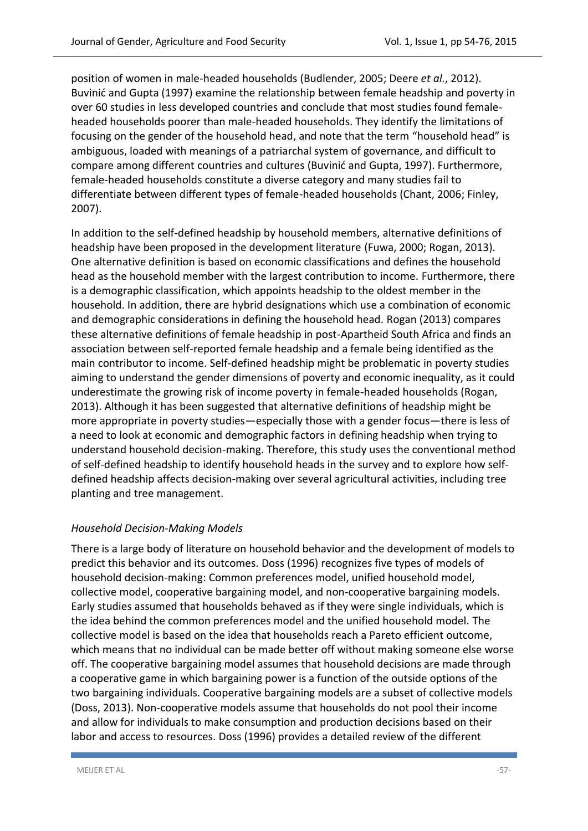position of women in male-headed households [\(Budlender, 2005;](#page-18-1) Deere *et al.*[, 2012\)](#page-19-0). [Buvinić and Gupta \(1997](#page-19-1)) examine the relationship between female headship and poverty in over 60 studies in less developed countries and conclude that most studies found femaleheaded households poorer than male-headed households. They identify the limitations of focusing on the gender of the household head, and note that the term "household head" is ambiguous, loaded with meanings of a patriarchal system of governance, and difficult to compare among different countries and cultures ([Buvinić and Gupta, 1997](#page-19-1)). Furthermore, female-headed households constitute a diverse category and many studies fail to differentiate between different types of female-headed households [\(Chant, 2006;](#page-19-2) [Finley,](#page-19-3)  [2007\)](#page-19-3).

In addition to the self-defined headship by household members, alternative definitions of headship have been proposed in the development literature [\(Fuwa, 2000;](#page-19-5) [Rogan, 2013\)](#page-21-2). One alternative definition is based on economic classifications and defines the household head as the household member with the largest contribution to income. Furthermore, there is a demographic classification, which appoints headship to the oldest member in the household. In addition, there are hybrid designations which use a combination of economic and demographic considerations in defining the household head. [Rogan \(2013\)](#page-21-2) compares these alternative definitions of female headship in post-Apartheid South Africa and finds an association between self-reported female headship and a female being identified as the main contributor to income. Self-defined headship might be problematic in poverty studies aiming to understand the gender dimensions of poverty and economic inequality, as it could underestimate the growing risk of income poverty in female-headed households [\(Rogan,](#page-21-2)  [2013\)](#page-21-2). Although it has been suggested that alternative definitions of headship might be more appropriate in poverty studies—especially those with a gender focus—there is less of a need to look at economic and demographic factors in defining headship when trying to understand household decision-making. Therefore, this study uses the conventional method of self-defined headship to identify household heads in the survey and to explore how selfdefined headship affects decision-making over several agricultural activities, including tree planting and tree management.

#### *Household Decision-Making Models*

There is a large body of literature on household behavior and the development of models to predict this behavior and its outcomes. [Doss \(1996\)](#page-19-6) recognizes five types of models of household decision-making: Common preferences model, unified household model, collective model, cooperative bargaining model, and non-cooperative bargaining models. Early studies assumed that households behaved as if they were single individuals, which is the idea behind the common preferences model and the unified household model. The collective model is based on the idea that households reach a Pareto efficient outcome, which means that no individual can be made better off without making someone else worse off. The cooperative bargaining model assumes that household decisions are made through a cooperative game in which bargaining power is a function of the outside options of the two bargaining individuals. Cooperative bargaining models are a subset of collective models [\(Doss, 2013\)](#page-19-7). Non-cooperative models assume that households do not pool their income and allow for individuals to make consumption and production decisions based on their labor and access to resources. [Doss \(1996\)](#page-19-6) provides a detailed review of the different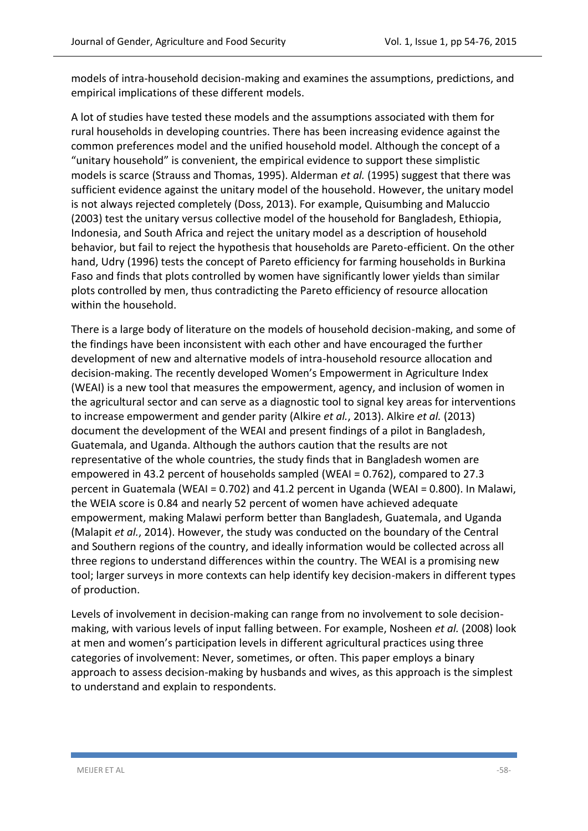models of intra-household decision-making and examines the assumptions, predictions, and empirical implications of these different models.

A lot of studies have tested these models and the assumptions associated with them for rural households in developing countries. There has been increasing evidence against the common preferences model and the unified household model. Although the concept of a "unitary household" is convenient, the empirical evidence to support these simplistic models is scarce [\(Strauss and Thomas, 1995\)](#page-21-6). [Alderman](#page-18-3) *et al.* (1995) suggest that there was sufficient evidence against the unitary model of the household. However, the unitary model is not always rejected completely [\(Doss, 2013\)](#page-19-7). For example, [Quisumbing and Maluccio](#page-21-7)  [\(2003\)](#page-21-7) test the unitary versus collective model of the household for Bangladesh, Ethiopia, Indonesia, and South Africa and reject the unitary model as a description of household behavior, but fail to reject the hypothesis that households are Pareto-efficient. On the other hand, [Udry \(1996\)](#page-22-2) tests the concept of Pareto efficiency for farming households in Burkina Faso and finds that plots controlled by women have significantly lower yields than similar plots controlled by men, thus contradicting the Pareto efficiency of resource allocation within the household.

There is a large body of literature on the models of household decision-making, and some of the findings have been inconsistent with each other and have encouraged the further development of new and alternative models of intra-household resource allocation and decision-making. The recently developed Women's Empowerment in Agriculture Index (WEAI) is a new tool that measures the empowerment, agency, and inclusion of women in the agricultural sector and can serve as a diagnostic tool to signal key areas for interventions to increase empowerment and gender parity (Alkire *et al.*[, 2013\)](#page-18-4). Alkire *et al.* [\(2013\)](#page-18-4) document the development of the WEAI and present findings of a pilot in Bangladesh, Guatemala, and Uganda. Although the authors caution that the results are not representative of the whole countries, the study finds that in Bangladesh women are empowered in 43.2 percent of households sampled (WEAI = 0.762), compared to 27.3 percent in Guatemala (WEAI = 0.702) and 41.2 percent in Uganda (WEAI = 0.800). In Malawi, the WEIA score is 0.84 and nearly 52 percent of women have achieved adequate empowerment, making Malawi perform better than Bangladesh, Guatemala, and Uganda [\(Malapit](#page-20-3) *et al.*, 2014). However, the study was conducted on the boundary of the Central and Southern regions of the country, and ideally information would be collected across all three regions to understand differences within the country. The WEAI is a promising new tool; larger surveys in more contexts can help identify key decision-makers in different types of production.

Levels of involvement in decision-making can range from no involvement to sole decisionmaking, with various levels of input falling between. For example, [Nosheen](#page-20-4) *et al.* (2008) look at men and women's participation levels in different agricultural practices using three categories of involvement: Never, sometimes, or often. This paper employs a binary approach to assess decision-making by husbands and wives, as this approach is the simplest to understand and explain to respondents.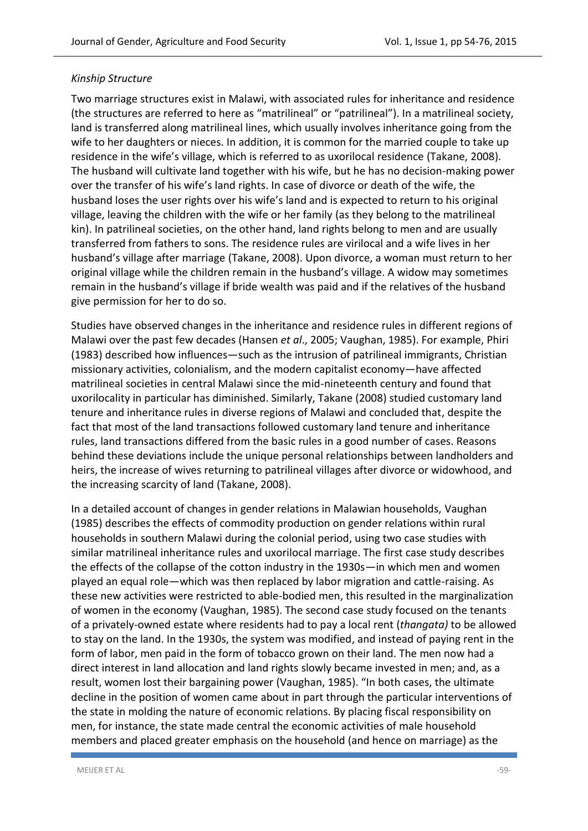### *Kinship Structure*

Two marriage structures exist in Malawi, with associated rules for inheritance and residence (the structures are referred to here as "matrilineal" or "patrilineal"). In a matrilineal society, land is transferred along matrilineal lines, which usually involves inheritance going from the wife to her daughters or nieces. In addition, it is common for the married couple to take up residence in the wife's village, which is referred to as uxorilocal residence [\(Takane, 2008\)](#page-21-5). The husband will cultivate land together with his wife, but he has no decision-making power over the transfer of his wife's land rights. In case of divorce or death of the wife, the husband loses the user rights over his wife's land and is expected to return to his original village, leaving the children with the wife or her family (as they belong to the matrilineal kin). In patrilineal societies, on the other hand, land rights belong to men and are usually transferred from fathers to sons. The residence rules are virilocal and a wife lives in her husband's village after marriage [\(Takane,](#page-21-5) 2008). Upon divorce, a woman must return to her original village while the children remain in the husband's village. A widow may sometimes remain in the husband's village if bride wealth was paid and if the relatives of the husband give permission for her to do so.

Studies have observed changes in the inheritance and residence rules in different regions of Malawi over the past few decades (Hansen *et al*., 2005; [Vaughan, 1985\)](#page-22-3). For example, [Phiri](#page-21-8)  [\(1983\)](#page-21-8) described how influences—such as the intrusion of patrilineal immigrants, Christian missionary activities, colonialism, and the modern capitalist economy—have affected matrilineal societies in central Malawi since the mid-nineteenth century and found that uxorilocality in particular has diminished. Similarly, [Takane \(2008\)](#page-21-5) studied customary land tenure and inheritance rules in diverse regions of Malawi and concluded that, despite the fact that most of the land transactions followed customary land tenure and inheritance rules, land transactions differed from the basic rules in a good number of cases. Reasons behind these deviations include the unique personal relationships between landholders and heirs, the increase of wives returning to patrilineal villages after divorce or widowhood, and the increasing scarcity of land [\(Takane, 2008\)](#page-21-5).

In a detailed account of changes in gender relations in Malawian households, [Vaughan](#page-22-3)  [\(1985\)](#page-22-3) describes the effects of commodity production on gender relations within rural households in southern Malawi during the colonial period, using two case studies with similar matrilineal inheritance rules and uxorilocal marriage. The first case study describes the effects of the collapse of the cotton industry in the 1930s—in which men and women played an equal role—which was then replaced by labor migration and cattle-raising. As these new activities were restricted to able-bodied men, this resulted in the marginalization of women in the economy [\(Vaughan, 1985\)](#page-22-3). The second case study focused on the tenants of a privately-owned estate where residents had to pay a local rent (*thangata)* to be allowed to stay on the land. In the 1930s, the system was modified, and instead of paying rent in the form of labor, men paid in the form of tobacco grown on their land. The men now had a direct interest in land allocation and land rights slowly became invested in men; and, as a result, women lost their bargaining power [\(Vaughan, 1985\)](#page-22-3). "In both cases, the ultimate decline in the position of women came about in part through the particular interventions of the state in molding the nature of economic relations. By placing fiscal responsibility on men, for instance, the state made central the economic activities of male household members and placed greater emphasis on the household (and hence on marriage) as the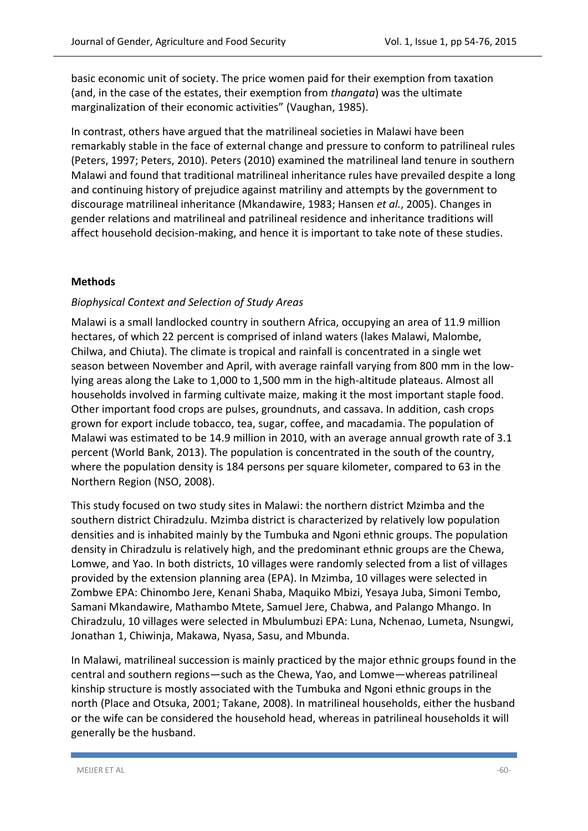basic economic unit of society. The price women paid for their exemption from taxation (and, in the case of the estates, their exemption from *thangata*) was the ultimate marginalization of their economic activities" (Vaughan, 1985).

In contrast, others have argued that the matrilineal societies in Malawi have been remarkably stable in the face of external change and pressure to conform to patrilineal rules [\(Peters, 1997;](#page-21-9) [Peters, 2010\)](#page-21-10). [Peters \(2010\)](#page-21-10) examined the matrilineal land tenure in southern Malawi and found that traditional matrilineal inheritance rules have prevailed despite a long and continuing history of prejudice against matriliny and attempts by the government to discourage matrilineal inheritance [\(Mkandawire, 1983;](#page-20-5) [Hansen](#page-19-8) *et al.*, 2005). Changes in gender relations and matrilineal and patrilineal residence and inheritance traditions will affect household decision-making, and hence it is important to take note of these studies.

# **Methods**

## *Biophysical Context and Selection of Study Areas*

Malawi is a small landlocked country in southern Africa, occupying an area of 11.9 million hectares, of which 22 percent is comprised of inland waters (lakes Malawi, Malombe, Chilwa, and Chiuta). The climate is tropical and rainfall is concentrated in a single wet season between November and April, with average rainfall varying from 800 mm in the lowlying areas along the Lake to 1,000 to 1,500 mm in the high-altitude plateaus. Almost all households involved in farming cultivate maize, making it the most important staple food. Other important food crops are pulses, groundnuts, and cassava. In addition, cash crops grown for export include tobacco, tea, sugar, coffee, and macadamia. The population of Malawi was estimated to be 14.9 million in 2010, with an average annual growth rate of 3.1 percent [\(World Bank, 2013\)](#page-22-4). The population is concentrated in the south of the country, where the population density is 184 persons per square kilometer, compared to 63 in the Northern Region [\(NSO, 2008\)](#page-20-6).

This study focused on two study sites in Malawi: the northern district Mzimba and the southern district Chiradzulu. Mzimba district is characterized by relatively low population densities and is inhabited mainly by the Tumbuka and Ngoni ethnic groups. The population density in Chiradzulu is relatively high, and the predominant ethnic groups are the Chewa, Lomwe, and Yao. In both districts, 10 villages were randomly selected from a list of villages provided by the extension planning area (EPA). In Mzimba, 10 villages were selected in Zombwe EPA: Chinombo Jere, Kenani Shaba, Maquiko Mbizi, Yesaya Juba, Simoni Tembo, Samani Mkandawire, Mathambo Mtete, Samuel Jere, Chabwa, and Palango Mhango. In Chiradzulu, 10 villages were selected in Mbulumbuzi EPA: Luna, Nchenao, Lumeta, Nsungwi, Jonathan 1, Chiwinja, Makawa, Nyasa, Sasu, and Mbunda.

In Malawi, matrilineal succession is mainly practiced by the major ethnic groups found in the central and southern regions—such as the Chewa, Yao, and Lomwe—whereas patrilineal kinship structure is mostly associated with the Tumbuka and Ngoni ethnic groups in the north [\(Place and Otsuka, 2001;](#page-21-4) [Takane, 2008\)](#page-21-5). In matrilineal households, either the husband or the wife can be considered the household head, whereas in patrilineal households it will generally be the husband.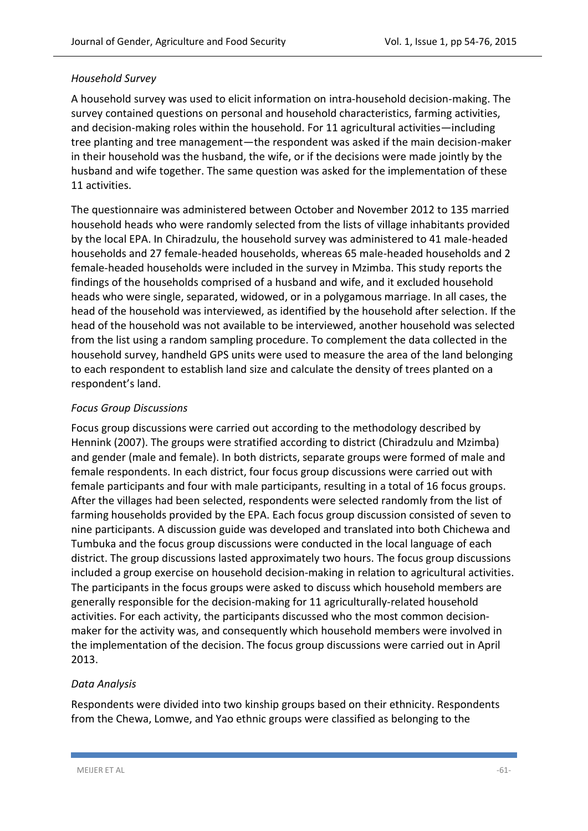### *Household Survey*

A household survey was used to elicit information on intra-household decision-making. The survey contained questions on personal and household characteristics, farming activities, and decision-making roles within the household. For 11 agricultural activities—including tree planting and tree management—the respondent was asked if the main decision-maker in their household was the husband, the wife, or if the decisions were made jointly by the husband and wife together. The same question was asked for the implementation of these 11 activities.

The questionnaire was administered between October and November 2012 to 135 married household heads who were randomly selected from the lists of village inhabitants provided by the local EPA. In Chiradzulu, the household survey was administered to 41 male-headed households and 27 female-headed households, whereas 65 male-headed households and 2 female-headed households were included in the survey in Mzimba. This study reports the findings of the households comprised of a husband and wife, and it excluded household heads who were single, separated, widowed, or in a polygamous marriage. In all cases, the head of the household was interviewed, as identified by the household after selection. If the head of the household was not available to be interviewed, another household was selected from the list using a random sampling procedure. To complement the data collected in the household survey, handheld GPS units were used to measure the area of the land belonging to each respondent to establish land size and calculate the density of trees planted on a respondent's land.

## *Focus Group Discussions*

Focus group discussions were carried out according to the methodology described by [Hennink \(2007\)](#page-20-7). The groups were stratified according to district (Chiradzulu and Mzimba) and gender (male and female). In both districts, separate groups were formed of male and female respondents. In each district, four focus group discussions were carried out with female participants and four with male participants, resulting in a total of 16 focus groups. After the villages had been selected, respondents were selected randomly from the list of farming households provided by the EPA. Each focus group discussion consisted of seven to nine participants. A discussion guide was developed and translated into both Chichewa and Tumbuka and the focus group discussions were conducted in the local language of each district. The group discussions lasted approximately two hours. The focus group discussions included a group exercise on household decision-making in relation to agricultural activities. The participants in the focus groups were asked to discuss which household members are generally responsible for the decision-making for 11 agriculturally-related household activities. For each activity, the participants discussed who the most common decisionmaker for the activity was, and consequently which household members were involved in the implementation of the decision. The focus group discussions were carried out in April 2013.

# *Data Analysis*

Respondents were divided into two kinship groups based on their ethnicity. Respondents from the Chewa, Lomwe, and Yao ethnic groups were classified as belonging to the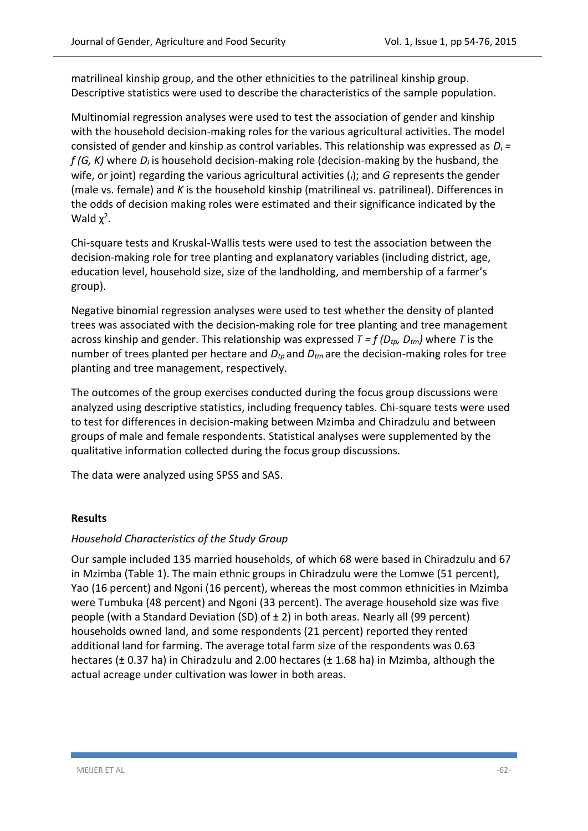matrilineal kinship group, and the other ethnicities to the patrilineal kinship group. Descriptive statistics were used to describe the characteristics of the sample population.

Multinomial regression analyses were used to test the association of gender and kinship with the household decision-making roles for the various agricultural activities. The model consisted of gender and kinship as control variables. This relationship was expressed as *D<sup>i</sup> = f (G, K)* where *D<sup>i</sup>* is household decision-making role (decision-making by the husband, the wife, or joint) regarding the various agricultural activities (*i*); and *G* represents the gender (male vs. female) and *K* is the household kinship (matrilineal vs. patrilineal). Differences in the odds of decision making roles were estimated and their significance indicated by the Wald  $χ<sup>2</sup>$ .

Chi-square tests and Kruskal-Wallis tests were used to test the association between the decision-making role for tree planting and explanatory variables (including district, age, education level, household size, size of the landholding, and membership of a farmer's group).

Negative binomial regression analyses were used to test whether the density of planted trees was associated with the decision-making role for tree planting and tree management across kinship and gender. This relationship was expressed *T = f (Dtp, Dtm)* where *T* is the number of trees planted per hectare and  $D_{tp}$  and  $D_{tm}$  are the decision-making roles for tree planting and tree management, respectively.

The outcomes of the group exercises conducted during the focus group discussions were analyzed using descriptive statistics, including frequency tables. Chi-square tests were used to test for differences in decision-making between Mzimba and Chiradzulu and between groups of male and female respondents. Statistical analyses were supplemented by the qualitative information collected during the focus group discussions.

The data were analyzed using SPSS and SAS.

#### **Results**

#### *Household Characteristics of the Study Group*

Our sample included 135 married households, of which 68 were based in Chiradzulu and 67 in Mzimba (Table 1). The main ethnic groups in Chiradzulu were the Lomwe (51 percent), Yao (16 percent) and Ngoni (16 percent), whereas the most common ethnicities in Mzimba were Tumbuka (48 percent) and Ngoni (33 percent). The average household size was five people (with a Standard Deviation (SD) of  $\pm 2$ ) in both areas. Nearly all (99 percent) households owned land, and some respondents (21 percent) reported they rented additional land for farming. The average total farm size of the respondents was 0.63 hectares ( $\pm$  0.37 ha) in Chiradzulu and 2.00 hectares ( $\pm$  1.68 ha) in Mzimba, although the actual acreage under cultivation was lower in both areas.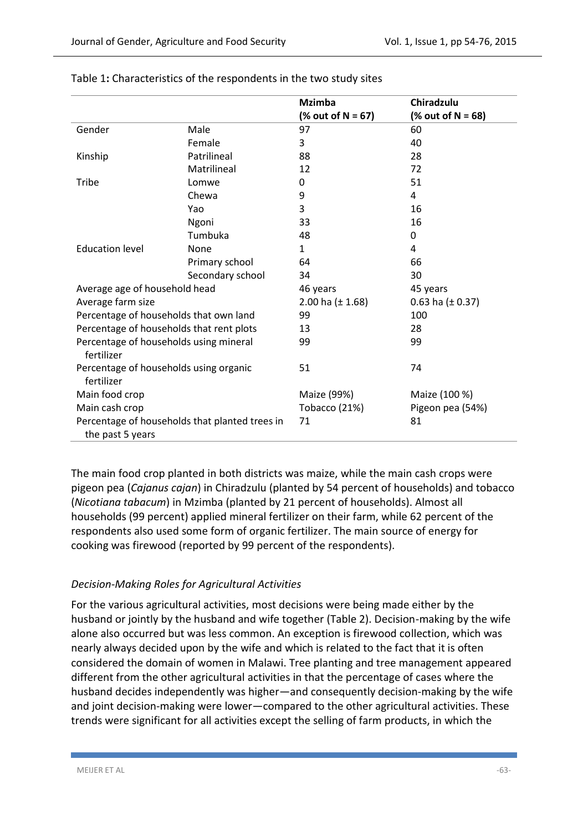|                                                                    |                  | <b>Mzimba</b><br>$% out of N = 67$ | Chiradzulu<br>$% out of N = 68$ |
|--------------------------------------------------------------------|------------------|------------------------------------|---------------------------------|
| Gender                                                             | Male             | 97                                 | 60                              |
|                                                                    | Female           | 3                                  | 40                              |
| Kinship                                                            | Patrilineal      | 88                                 | 28                              |
|                                                                    | Matrilineal      | 12                                 | 72                              |
| <b>Tribe</b>                                                       | Lomwe            | 0                                  | 51                              |
|                                                                    | Chewa            | 9                                  | 4                               |
|                                                                    | Yao              | 3                                  | 16                              |
|                                                                    | Ngoni            | 33                                 | 16                              |
|                                                                    | Tumbuka          | 48                                 | 0                               |
| <b>Education level</b>                                             | None             | $\mathbf{1}$                       | 4                               |
|                                                                    | Primary school   | 64                                 | 66                              |
|                                                                    | Secondary school | 34                                 | 30                              |
| Average age of household head                                      |                  | 46 years                           | 45 years                        |
| Average farm size                                                  |                  | 2.00 ha $(\pm 1.68)$               | 0.63 ha $(\pm 0.37)$            |
| Percentage of households that own land                             |                  | 99                                 | 100                             |
| Percentage of households that rent plots                           |                  | 13                                 | 28                              |
| Percentage of households using mineral<br>fertilizer               |                  | 99                                 | 99                              |
| Percentage of households using organic<br>fertilizer               |                  | 51                                 | 74                              |
| Main food crop                                                     |                  | Maize (99%)                        | Maize (100 %)                   |
| Main cash crop                                                     |                  | Tobacco (21%)                      | Pigeon pea (54%)                |
| Percentage of households that planted trees in<br>the past 5 years |                  | 71                                 | 81                              |

#### Table 1**:** Characteristics of the respondents in the two study sites

The main food crop planted in both districts was maize, while the main cash crops were pigeon pea (*Cajanus cajan*) in Chiradzulu (planted by 54 percent of households) and tobacco (*Nicotiana tabacum*) in Mzimba (planted by 21 percent of households). Almost all households (99 percent) applied mineral fertilizer on their farm, while 62 percent of the respondents also used some form of organic fertilizer. The main source of energy for cooking was firewood (reported by 99 percent of the respondents).

# *Decision-Making Roles for Agricultural Activities*

For the various agricultural activities, most decisions were being made either by the husband or jointly by the husband and wife together (Table 2). Decision-making by the wife alone also occurred but was less common. An exception is firewood collection, which was nearly always decided upon by the wife and which is related to the fact that it is often considered the domain of women in Malawi. Tree planting and tree management appeared different from the other agricultural activities in that the percentage of cases where the husband decides independently was higher—and consequently decision-making by the wife and joint decision-making were lower—compared to the other agricultural activities. These trends were significant for all activities except the selling of farm products, in which the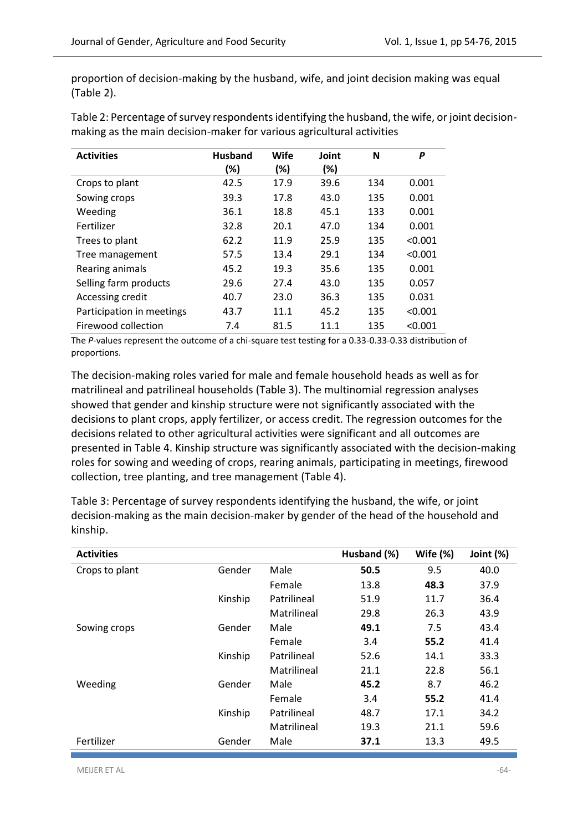proportion of decision-making by the husband, wife, and joint decision making was equal (Table 2).

Table 2: Percentage of survey respondents identifying the husband, the wife, or joint decisionmaking as the main decision-maker for various agricultural activities

| <b>Activities</b>         | <b>Husband</b><br>(%) | Wife<br>(%) | Joint<br>(%) | N   | P       |
|---------------------------|-----------------------|-------------|--------------|-----|---------|
|                           |                       |             |              |     |         |
| Crops to plant            | 42.5                  | 17.9        | 39.6         | 134 | 0.001   |
| Sowing crops              | 39.3                  | 17.8        | 43.0         | 135 | 0.001   |
| Weeding                   | 36.1                  | 18.8        | 45.1         | 133 | 0.001   |
| Fertilizer                | 32.8                  | 20.1        | 47.0         | 134 | 0.001   |
| Trees to plant            | 62.2                  | 11.9        | 25.9         | 135 | < 0.001 |
| Tree management           | 57.5                  | 13.4        | 29.1         | 134 | < 0.001 |
| Rearing animals           | 45.2                  | 19.3        | 35.6         | 135 | 0.001   |
| Selling farm products     | 29.6                  | 27.4        | 43.0         | 135 | 0.057   |
| Accessing credit          | 40.7                  | 23.0        | 36.3         | 135 | 0.031   |
| Participation in meetings | 43.7                  | 11.1        | 45.2         | 135 | < 0.001 |
| Firewood collection       | 7.4                   | 81.5        | 11.1         | 135 | < 0.001 |

The *P*-values represent the outcome of a chi-square test testing for a 0.33-0.33-0.33 distribution of proportions.

The decision-making roles varied for male and female household heads as well as for matrilineal and patrilineal households (Table 3). The multinomial regression analyses showed that gender and kinship structure were not significantly associated with the decisions to plant crops, apply fertilizer, or access credit. The regression outcomes for the decisions related to other agricultural activities were significant and all outcomes are presented in Table 4. Kinship structure was significantly associated with the decision-making roles for sowing and weeding of crops, rearing animals, participating in meetings, firewood collection, tree planting, and tree management (Table 4).

| <b>Activities</b> |         |             | Husband (%) | Wife $(\%)$ | Joint (%) |
|-------------------|---------|-------------|-------------|-------------|-----------|
| Crops to plant    | Gender  | Male        | 50.5        | 9.5         | 40.0      |
|                   |         | Female      | 13.8        | 48.3        | 37.9      |
|                   | Kinship | Patrilineal | 51.9        | 11.7        | 36.4      |
|                   |         | Matrilineal | 29.8        | 26.3        | 43.9      |
| Sowing crops      | Gender  | Male        | 49.1        | 7.5         | 43.4      |
|                   |         | Female      | 3.4         | 55.2        | 41.4      |
|                   | Kinship | Patrilineal | 52.6        | 14.1        | 33.3      |
|                   |         | Matrilineal | 21.1        | 22.8        | 56.1      |
| Weeding           | Gender  | Male        | 45.2        | 8.7         | 46.2      |
|                   |         | Female      | 3.4         | 55.2        | 41.4      |
|                   | Kinship | Patrilineal | 48.7        | 17.1        | 34.2      |
|                   |         | Matrilineal | 19.3        | 21.1        | 59.6      |
| Fertilizer        | Gender  | Male        | 37.1        | 13.3        | 49.5      |

Table 3: Percentage of survey respondents identifying the husband, the wife, or joint decision-making as the main decision-maker by gender of the head of the household and kinship.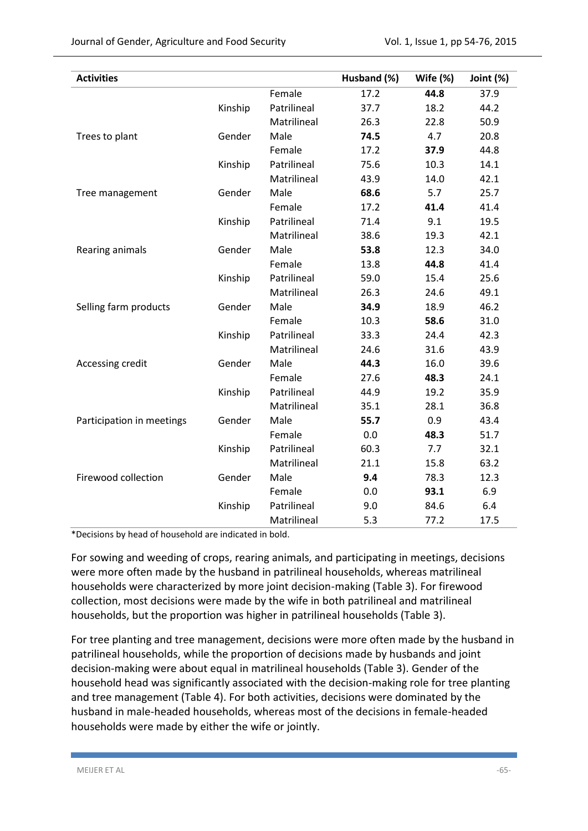| <b>Activities</b>         |         |             | Husband (%) | Wife (%) | Joint (%) |
|---------------------------|---------|-------------|-------------|----------|-----------|
|                           |         | Female      | 17.2        | 44.8     | 37.9      |
|                           | Kinship | Patrilineal | 37.7        | 18.2     | 44.2      |
|                           |         | Matrilineal | 26.3        | 22.8     | 50.9      |
| Trees to plant            | Gender  | Male        | 74.5        | 4.7      | 20.8      |
|                           |         | Female      | 17.2        | 37.9     | 44.8      |
|                           | Kinship | Patrilineal | 75.6        | 10.3     | 14.1      |
|                           |         | Matrilineal | 43.9        | 14.0     | 42.1      |
| Tree management           | Gender  | Male        | 68.6        | 5.7      | 25.7      |
|                           |         | Female      | 17.2        | 41.4     | 41.4      |
|                           | Kinship | Patrilineal | 71.4        | 9.1      | 19.5      |
|                           |         | Matrilineal | 38.6        | 19.3     | 42.1      |
| Rearing animals           | Gender  | Male        | 53.8        | 12.3     | 34.0      |
|                           |         | Female      | 13.8        | 44.8     | 41.4      |
|                           | Kinship | Patrilineal | 59.0        | 15.4     | 25.6      |
|                           |         | Matrilineal | 26.3        | 24.6     | 49.1      |
| Selling farm products     | Gender  | Male        | 34.9        | 18.9     | 46.2      |
|                           |         | Female      | 10.3        | 58.6     | 31.0      |
|                           | Kinship | Patrilineal | 33.3        | 24.4     | 42.3      |
|                           |         | Matrilineal | 24.6        | 31.6     | 43.9      |
| Accessing credit          | Gender  | Male        | 44.3        | 16.0     | 39.6      |
|                           |         | Female      | 27.6        | 48.3     | 24.1      |
|                           | Kinship | Patrilineal | 44.9        | 19.2     | 35.9      |
|                           |         | Matrilineal | 35.1        | 28.1     | 36.8      |
| Participation in meetings | Gender  | Male        | 55.7        | 0.9      | 43.4      |
|                           |         | Female      | 0.0         | 48.3     | 51.7      |
|                           | Kinship | Patrilineal | 60.3        | 7.7      | 32.1      |
|                           |         | Matrilineal | 21.1        | 15.8     | 63.2      |
| Firewood collection       | Gender  | Male        | 9.4         | 78.3     | 12.3      |
|                           |         | Female      | 0.0         | 93.1     | 6.9       |
|                           | Kinship | Patrilineal | 9.0         | 84.6     | 6.4       |
|                           |         | Matrilineal | 5.3         | 77.2     | 17.5      |

\*Decisions by head of household are indicated in bold.

For sowing and weeding of crops, rearing animals, and participating in meetings, decisions were more often made by the husband in patrilineal households, whereas matrilineal households were characterized by more joint decision-making (Table 3). For firewood collection, most decisions were made by the wife in both patrilineal and matrilineal households, but the proportion was higher in patrilineal households (Table 3).

For tree planting and tree management, decisions were more often made by the husband in patrilineal households, while the proportion of decisions made by husbands and joint decision-making were about equal in matrilineal households (Table 3). Gender of the household head was significantly associated with the decision-making role for tree planting and tree management (Table 4). For both activities, decisions were dominated by the husband in male-headed households, whereas most of the decisions in female-headed households were made by either the wife or jointly.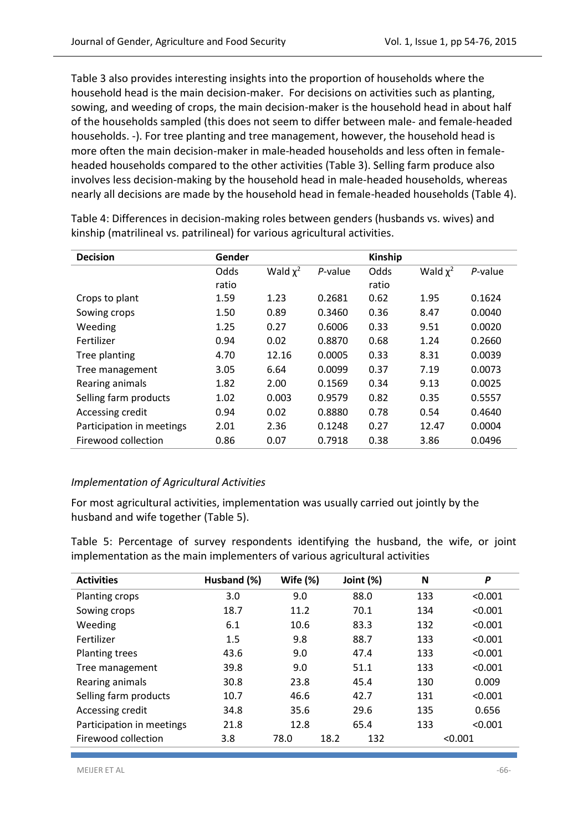Table 3 also provides interesting insights into the proportion of households where the household head is the main decision-maker. For decisions on activities such as planting, sowing, and weeding of crops, the main decision-maker is the household head in about half of the households sampled (this does not seem to differ between male- and female-headed households. -). For tree planting and tree management, however, the household head is more often the main decision-maker in male-headed households and less often in femaleheaded households compared to the other activities (Table 3). Selling farm produce also involves less decision-making by the household head in male-headed households, whereas nearly all decisions are made by the household head in female-headed households (Table 4).

| <b>Decision</b>           | Gender |               |         | Kinship |               |         |
|---------------------------|--------|---------------|---------|---------|---------------|---------|
|                           | Odds   | Wald $\chi^2$ | P-value | Odds    | Wald $\chi^2$ | P-value |
|                           | ratio  |               |         | ratio   |               |         |
| Crops to plant            | 1.59   | 1.23          | 0.2681  | 0.62    | 1.95          | 0.1624  |
| Sowing crops              | 1.50   | 0.89          | 0.3460  | 0.36    | 8.47          | 0.0040  |
| Weeding                   | 1.25   | 0.27          | 0.6006  | 0.33    | 9.51          | 0.0020  |
| Fertilizer                | 0.94   | 0.02          | 0.8870  | 0.68    | 1.24          | 0.2660  |
| Tree planting             | 4.70   | 12.16         | 0.0005  | 0.33    | 8.31          | 0.0039  |
| Tree management           | 3.05   | 6.64          | 0.0099  | 0.37    | 7.19          | 0.0073  |
| Rearing animals           | 1.82   | 2.00          | 0.1569  | 0.34    | 9.13          | 0.0025  |
| Selling farm products     | 1.02   | 0.003         | 0.9579  | 0.82    | 0.35          | 0.5557  |
| Accessing credit          | 0.94   | 0.02          | 0.8880  | 0.78    | 0.54          | 0.4640  |
| Participation in meetings | 2.01   | 2.36          | 0.1248  | 0.27    | 12.47         | 0.0004  |
| Firewood collection       | 0.86   | 0.07          | 0.7918  | 0.38    | 3.86          | 0.0496  |

Table 4: Differences in decision-making roles between genders (husbands vs. wives) and kinship (matrilineal vs. patrilineal) for various agricultural activities.

# *Implementation of Agricultural Activities*

For most agricultural activities, implementation was usually carried out jointly by the husband and wife together (Table 5).

Table 5: Percentage of survey respondents identifying the husband, the wife, or joint implementation as the main implementers of various agricultural activities

| <b>Activities</b>         | Husband (%) | Wife $(%)$ | Joint (%)   | N   | P       |
|---------------------------|-------------|------------|-------------|-----|---------|
| Planting crops            | 3.0         | 9.0        | 88.0        | 133 | < 0.001 |
| Sowing crops              | 18.7        | 11.2       | 70.1        | 134 | < 0.001 |
| Weeding                   | 6.1         | 10.6       | 83.3        | 132 | < 0.001 |
| Fertilizer                | 1.5         | 9.8        | 88.7        | 133 | < 0.001 |
| <b>Planting trees</b>     | 43.6        | 9.0        | 47.4        | 133 | < 0.001 |
| Tree management           | 39.8        | 9.0        | 51.1        | 133 | < 0.001 |
| Rearing animals           | 30.8        | 23.8       | 45.4        | 130 | 0.009   |
| Selling farm products     | 10.7        | 46.6       | 42.7        | 131 | < 0.001 |
| Accessing credit          | 34.8        | 35.6       | 29.6        | 135 | 0.656   |
| Participation in meetings | 21.8        | 12.8       | 65.4        | 133 | < 0.001 |
| Firewood collection       | 3.8         | 78.0       | 18.2<br>132 |     | < 0.001 |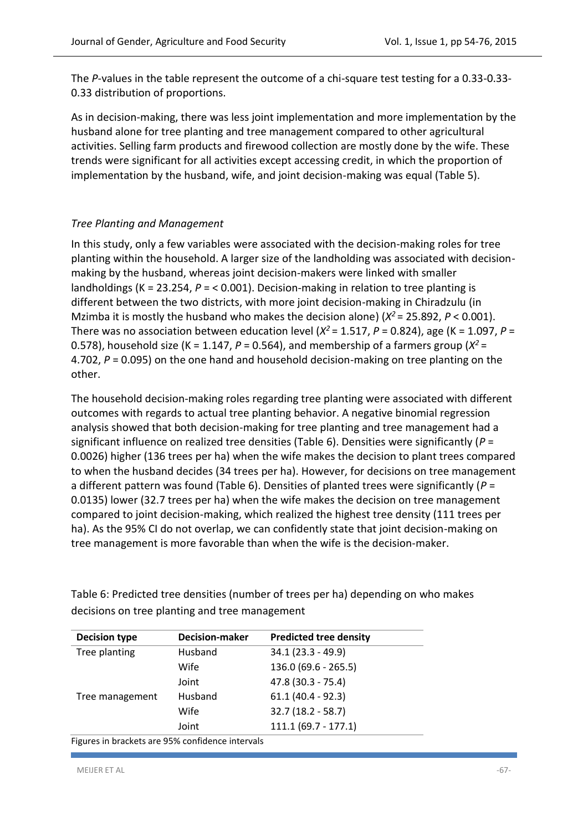The *P*-values in the table represent the outcome of a chi-square test testing for a 0.33-0.33- 0.33 distribution of proportions.

As in decision-making, there was less joint implementation and more implementation by the husband alone for tree planting and tree management compared to other agricultural activities. Selling farm products and firewood collection are mostly done by the wife. These trends were significant for all activities except accessing credit, in which the proportion of implementation by the husband, wife, and joint decision-making was equal (Table 5).

## *Tree Planting and Management*

In this study, only a few variables were associated with the decision-making roles for tree planting within the household. A larger size of the landholding was associated with decisionmaking by the husband, whereas joint decision-makers were linked with smaller landholdings (K = 23.254, *P* = < 0.001). Decision-making in relation to tree planting is different between the two districts, with more joint decision-making in Chiradzulu (in Mzimba it is mostly the husband who makes the decision alone) (*Χ <sup>2</sup>*= 25.892, *P* < 0.001). There was no association between education level ( $X^2$  = 1.517,  $P$  = 0.824), age (K = 1.097,  $P$  = 0.578), household size (K = 1.147,  $P = 0.564$ ), and membership of a farmers group ( $X^2 =$ 4.702, *P* = 0.095) on the one hand and household decision-making on tree planting on the other.

The household decision-making roles regarding tree planting were associated with different outcomes with regards to actual tree planting behavior. A negative binomial regression analysis showed that both decision-making for tree planting and tree management had a significant influence on realized tree densities (Table 6). Densities were significantly (*P* = 0.0026) higher (136 trees per ha) when the wife makes the decision to plant trees compared to when the husband decides (34 trees per ha). However, for decisions on tree management a different pattern was found (Table 6). Densities of planted trees were significantly (*P* = 0.0135) lower (32.7 trees per ha) when the wife makes the decision on tree management compared to joint decision-making, which realized the highest tree density (111 trees per ha). As the 95% CI do not overlap, we can confidently state that joint decision-making on tree management is more favorable than when the wife is the decision-maker.

Table 6: Predicted tree densities (number of trees per ha) depending on who makes decisions on tree planting and tree management

| <b>Decision type</b>                             | <b>Decision-maker</b> | <b>Predicted tree density</b> |  |  |  |
|--------------------------------------------------|-----------------------|-------------------------------|--|--|--|
| Tree planting                                    | Husband               | $34.1(23.3 - 49.9)$           |  |  |  |
|                                                  | Wife                  | $136.0(69.6 - 265.5)$         |  |  |  |
|                                                  | Joint                 | 47.8 (30.3 - 75.4)            |  |  |  |
| Tree management                                  | Husband               | $61.1(40.4 - 92.3)$           |  |  |  |
|                                                  | Wife                  | $32.7(18.2 - 58.7)$           |  |  |  |
|                                                  | Joint                 | $111.1 (69.7 - 177.1)$        |  |  |  |
| Figures in brackets are 95% confidence intervals |                       |                               |  |  |  |

Figures in brackets are 95% confidence intervals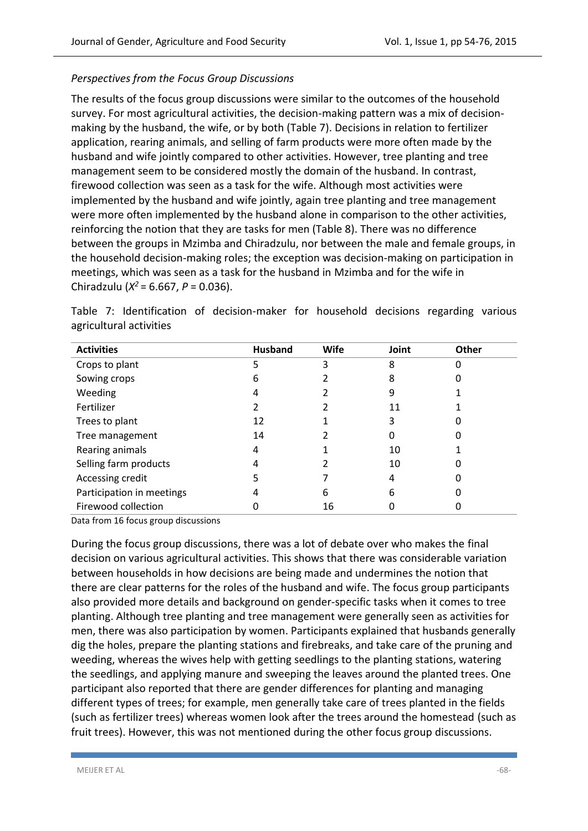# *Perspectives from the Focus Group Discussions*

The results of the focus group discussions were similar to the outcomes of the household survey. For most agricultural activities, the decision-making pattern was a mix of decisionmaking by the husband, the wife, or by both (Table 7). Decisions in relation to fertilizer application, rearing animals, and selling of farm products were more often made by the husband and wife jointly compared to other activities. However, tree planting and tree management seem to be considered mostly the domain of the husband. In contrast, firewood collection was seen as a task for the wife. Although most activities were implemented by the husband and wife jointly, again tree planting and tree management were more often implemented by the husband alone in comparison to the other activities, reinforcing the notion that they are tasks for men (Table 8). There was no difference between the groups in Mzimba and Chiradzulu, nor between the male and female groups, in the household decision-making roles; the exception was decision-making on participation in meetings, which was seen as a task for the husband in Mzimba and for the wife in Chiradzulu (*Χ <sup>2</sup>*= 6.667, *P* = 0.036).

| <b>Activities</b>         | <b>Husband</b> | Wife | Joint | Other |
|---------------------------|----------------|------|-------|-------|
| Crops to plant            |                | 3    | 8     |       |
| Sowing crops              | 6              |      | 8     |       |
| Weeding                   |                |      | 9     |       |
| Fertilizer                |                |      | 11    |       |
| Trees to plant            | 12             |      | 3     |       |
| Tree management           | 14             |      | 0     |       |
| Rearing animals           | 4              |      | 10    |       |
| Selling farm products     |                |      | 10    |       |
| Accessing credit          |                |      | 4     |       |
| Participation in meetings |                | 6    | 6     |       |
| Firewood collection       |                | 16   |       |       |

Table 7: Identification of decision-maker for household decisions regarding various agricultural activities

Data from 16 focus group discussions

During the focus group discussions, there was a lot of debate over who makes the final decision on various agricultural activities. This shows that there was considerable variation between households in how decisions are being made and undermines the notion that there are clear patterns for the roles of the husband and wife. The focus group participants also provided more details and background on gender-specific tasks when it comes to tree planting. Although tree planting and tree management were generally seen as activities for men, there was also participation by women. Participants explained that husbands generally dig the holes, prepare the planting stations and firebreaks, and take care of the pruning and weeding, whereas the wives help with getting seedlings to the planting stations, watering the seedlings, and applying manure and sweeping the leaves around the planted trees. One participant also reported that there are gender differences for planting and managing different types of trees; for example, men generally take care of trees planted in the fields (such as fertilizer trees) whereas women look after the trees around the homestead (such as fruit trees). However, this was not mentioned during the other focus group discussions.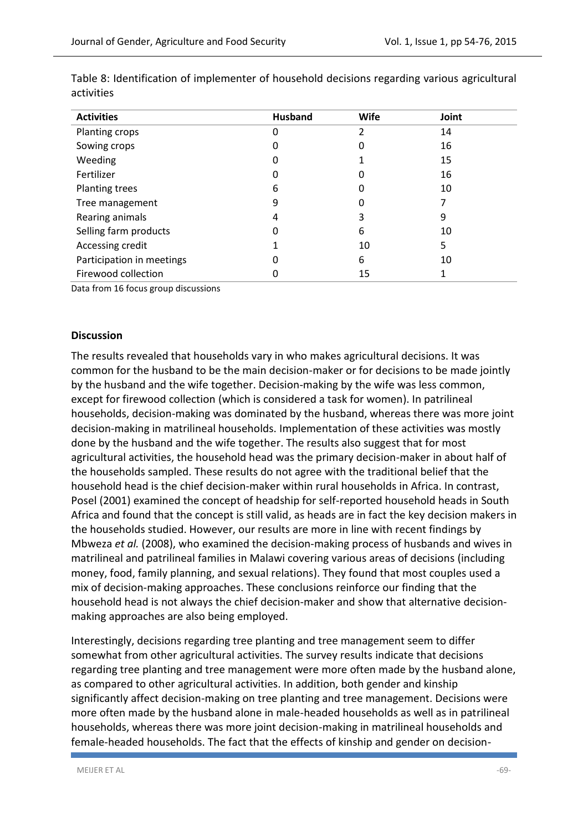| <b>Activities</b>         | <b>Husband</b> | Wife | Joint |
|---------------------------|----------------|------|-------|
| Planting crops            | 0              | 2    | 14    |
| Sowing crops              | 0              | 0    | 16    |
| Weeding                   | 0              |      | 15    |
| Fertilizer                | 0              | 0    | 16    |
| Planting trees            | 6              | 0    | 10    |
| Tree management           | 9              | 0    |       |
| Rearing animals           | 4              | 3    | 9     |
| Selling farm products     | 0              | 6    | 10    |
| Accessing credit          |                | 10   | 5     |
| Participation in meetings | 0              | 6    | 10    |
| Firewood collection       | 0              | 15   |       |

Table 8: Identification of implementer of household decisions regarding various agricultural activities

Data from 16 focus group discussions

#### **Discussion**

The results revealed that households vary in who makes agricultural decisions. It was common for the husband to be the main decision-maker or for decisions to be made jointly by the husband and the wife together. Decision-making by the wife was less common, except for firewood collection (which is considered a task for women). In patrilineal households, decision-making was dominated by the husband, whereas there was more joint decision-making in matrilineal households. Implementation of these activities was mostly done by the husband and the wife together. The results also suggest that for most agricultural activities, the household head was the primary decision-maker in about half of the households sampled. These results do not agree with the traditional belief that the household head is the chief decision-maker within rural households in Africa. In contrast, [Posel \(2001\)](#page-21-1) examined the concept of headship for self-reported household heads in South Africa and found that the concept is still valid, as heads are in fact the key decision makers in the households studied. However, our results are more in line with recent findings by [Mbweza](#page-20-8) *et al.* (2008), who examined the decision-making process of husbands and wives in matrilineal and patrilineal families in Malawi covering various areas of decisions (including money, food, family planning, and sexual relations). They found that most couples used a mix of decision-making approaches. These conclusions reinforce our finding that the household head is not always the chief decision-maker and show that alternative decisionmaking approaches are also being employed.

Interestingly, decisions regarding tree planting and tree management seem to differ somewhat from other agricultural activities. The survey results indicate that decisions regarding tree planting and tree management were more often made by the husband alone, as compared to other agricultural activities. In addition, both gender and kinship significantly affect decision-making on tree planting and tree management. Decisions were more often made by the husband alone in male-headed households as well as in patrilineal households, whereas there was more joint decision-making in matrilineal households and female-headed households. The fact that the effects of kinship and gender on decision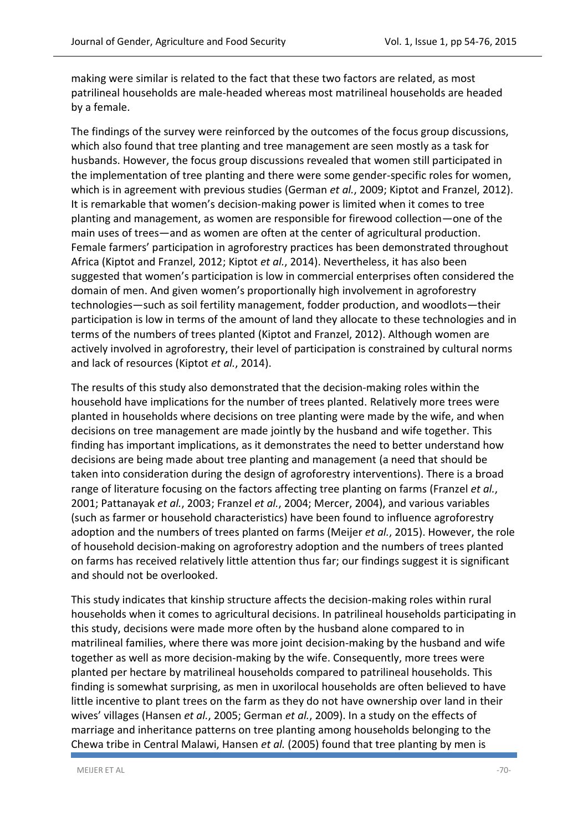making were similar is related to the fact that these two factors are related, as most patrilineal households are male-headed whereas most matrilineal households are headed by a female.

The findings of the survey were reinforced by the outcomes of the focus group discussions, which also found that tree planting and tree management are seen mostly as a task for husbands. However, the focus group discussions revealed that women still participated in the implementation of tree planting and there were some gender-specific roles for women, which is in agreement with previous studies [\(German](#page-19-9) *et al.*, 2009; [Kiptot and Franzel, 2012\)](#page-20-9). It is remarkable that women's decision-making power is limited when it comes to tree planting and management, as women are responsible for firewood collection—one of the main uses of trees—and as women are often at the center of agricultural production. Female farmers' participation in agroforestry practices has been demonstrated throughout Africa [\(Kiptot and Franzel, 2012;](#page-20-9) [Kiptot](#page-20-1) *et al.*, 2014). Nevertheless, it has also been suggested that women's participation is low in commercial enterprises often considered the domain of men. And given women's proportionally high involvement in agroforestry technologies—such as soil fertility management, fodder production, and woodlots—their participation is low in terms of the amount of land they allocate to these technologies and in terms of the numbers of trees planted [\(Kiptot and Franzel, 2012\)](#page-20-9). Although women are actively involved in agroforestry, their level of participation is constrained by cultural norms and lack of resources [\(Kiptot](#page-20-1) *et al.*, 2014).

The results of this study also demonstrated that the decision-making roles within the household have implications for the number of trees planted. Relatively more trees were planted in households where decisions on tree planting were made by the wife, and when decisions on tree management are made jointly by the husband and wife together. This finding has important implications, as it demonstrates the need to better understand how decisions are being made about tree planting and management (a need that should be taken into consideration during the design of agroforestry interventions). There is a broad range of literature focusing on the factors affecting tree planting on farms [\(Franzel](#page-19-10) *et al.*, [2001;](#page-19-10) [Pattanayak](#page-20-10) *et al.*, 2003; [Franzel](#page-19-11) *et al.*, 2004; [Mercer, 2004\)](#page-20-11), and various variables (such as farmer or household characteristics) have been found to influence agroforestry adoption and the numbers of trees planted on farms [\(Meijer](#page-20-12) *et al.*, 2015). However, the role of household decision-making on agroforestry adoption and the numbers of trees planted on farms has received relatively little attention thus far; our findings suggest it is significant and should not be overlooked.

This study indicates that kinship structure affects the decision-making roles within rural households when it comes to agricultural decisions. In patrilineal households participating in this study, decisions were made more often by the husband alone compared to in matrilineal families, where there was more joint decision-making by the husband and wife together as well as more decision-making by the wife. Consequently, more trees were planted per hectare by matrilineal households compared to patrilineal households. This finding is somewhat surprising, as men in uxorilocal households are often believed to have little incentive to plant trees on the farm as they do not have ownership over land in their wives' villages [\(Hansen](#page-19-8) *et al.*, 2005; [German](#page-19-9) *et al.*, 2009). In a study on the effects of marriage and inheritance patterns on tree planting among households belonging to the Chewa tribe in Central Malawi, Hansen *et al.* (2005) found that tree planting by men is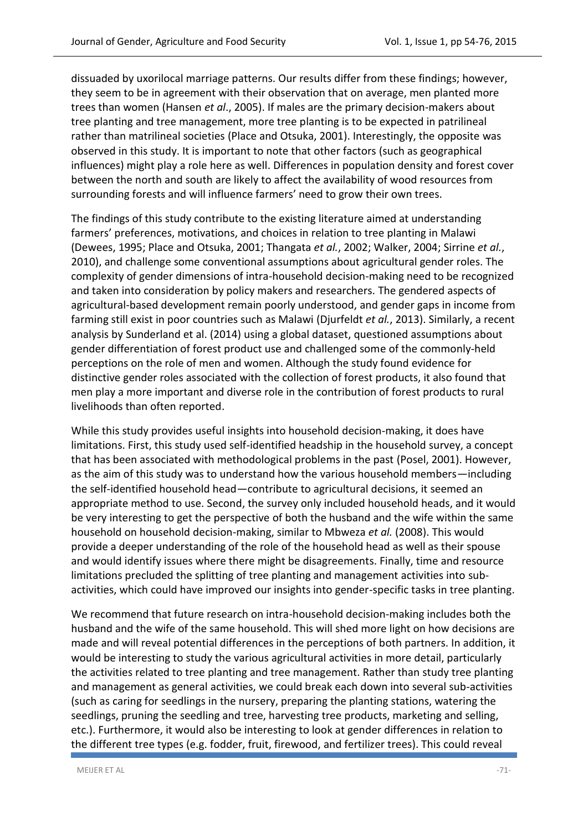dissuaded by uxorilocal marriage patterns. Our results differ from these findings; however, they seem to be in agreement with their observation that on average, men planted more trees than women (Hansen *et al*., 2005). If males are the primary decision-makers about tree planting and tree management, more tree planting is to be expected in patrilineal rather than matrilineal societies [\(Place and Otsuka, 2001\)](#page-21-4). Interestingly, the opposite was observed in this study. It is important to note that other factors (such as geographical influences) might play a role here as well. Differences in population density and forest cover between the north and south are likely to affect the availability of wood resources from surrounding forests and will influence farmers' need to grow their own trees.

The findings of this study contribute to the existing literature aimed at understanding farmers' preferences, motivations, and choices in relation to tree planting in Malawi [\(Dewees, 1995;](#page-19-12) [Place and Otsuka, 2001;](#page-21-4) [Thangata](#page-22-5) *et al.*, 2002; [Walker, 2004;](#page-22-6) [Sirrine](#page-21-11) *et al.*, [2010\)](#page-21-11), and challenge some conventional assumptions about agricultural gender roles. The complexity of gender dimensions of intra-household decision-making need to be recognized and taken into consideration by policy makers and researchers. The gendered aspects of agricultural-based development remain poorly understood, and gender gaps in income from farming still exist in poor countries such as Malawi [\(Djurfeldt](#page-18-5) *et al.*, 2013). Similarly, a recent analysis by Sunderland et al. (2014) using a global dataset, questioned assumptions about gender differentiation of forest product use and challenged some of the commonly-held perceptions on the role of men and women. Although the study found evidence for distinctive gender roles associated with the collection of forest products, it also found that men play a more important and diverse role in the contribution of forest products to rural livelihoods than often reported.

While this study provides useful insights into household decision-making, it does have limitations. First, this study used self-identified headship in the household survey, a concept that has been associated with methodological problems in the past [\(Posel, 2001\)](#page-21-1). However, as the aim of this study was to understand how the various household members—including the self-identified household head—contribute to agricultural decisions, it seemed an appropriate method to use. Second, the survey only included household heads, and it would be very interesting to get the perspective of both the husband and the wife within the same household on household decision-making, similar t[o Mbweza](#page-20-8) *et al.* (2008). This would provide a deeper understanding of the role of the household head as well as their spouse and would identify issues where there might be disagreements. Finally, time and resource limitations precluded the splitting of tree planting and management activities into subactivities, which could have improved our insights into gender-specific tasks in tree planting.

We recommend that future research on intra-household decision-making includes both the husband and the wife of the same household. This will shed more light on how decisions are made and will reveal potential differences in the perceptions of both partners. In addition, it would be interesting to study the various agricultural activities in more detail, particularly the activities related to tree planting and tree management. Rather than study tree planting and management as general activities, we could break each down into several sub-activities (such as caring for seedlings in the nursery, preparing the planting stations, watering the seedlings, pruning the seedling and tree, harvesting tree products, marketing and selling, etc.). Furthermore, it would also be interesting to look at gender differences in relation to the different tree types (e.g. fodder, fruit, firewood, and fertilizer trees). This could reveal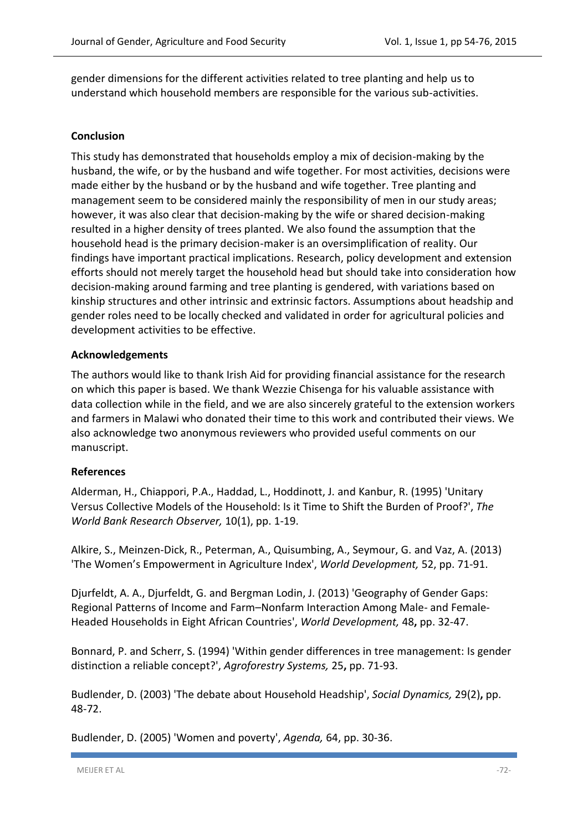gender dimensions for the different activities related to tree planting and help us to understand which household members are responsible for the various sub-activities.

#### **Conclusion**

This study has demonstrated that households employ a mix of decision-making by the husband, the wife, or by the husband and wife together. For most activities, decisions were made either by the husband or by the husband and wife together. Tree planting and management seem to be considered mainly the responsibility of men in our study areas; however, it was also clear that decision-making by the wife or shared decision-making resulted in a higher density of trees planted. We also found the assumption that the household head is the primary decision-maker is an oversimplification of reality. Our findings have important practical implications. Research, policy development and extension efforts should not merely target the household head but should take into consideration how decision-making around farming and tree planting is gendered, with variations based on kinship structures and other intrinsic and extrinsic factors. Assumptions about headship and gender roles need to be locally checked and validated in order for agricultural policies and development activities to be effective.

#### **Acknowledgements**

The authors would like to thank Irish Aid for providing financial assistance for the research on which this paper is based. We thank Wezzie Chisenga for his valuable assistance with data collection while in the field, and we are also sincerely grateful to the extension workers and farmers in Malawi who donated their time to this work and contributed their views. We also acknowledge two anonymous reviewers who provided useful comments on our manuscript.

#### **References**

<span id="page-18-3"></span>Alderman, H., Chiappori, P.A., Haddad, L., Hoddinott, J. and Kanbur, R. (1995) 'Unitary Versus Collective Models of the Household: Is it Time to Shift the Burden of Proof?', *The World Bank Research Observer,* 10(1), pp. 1-19.

<span id="page-18-4"></span>Alkire, S., Meinzen-Dick, R., Peterman, A., Quisumbing, A., Seymour, G. and Vaz, A. (2013) 'The Women's Empowerment in Agriculture Index', *World Development,* 52, pp. 71-91.

<span id="page-18-5"></span>Djurfeldt, A. A., Djurfeldt, G. and Bergman Lodin, J. (2013) 'Geography of Gender Gaps: Regional Patterns of Income and Farm–Nonfarm Interaction Among Male- and Female-Headed Households in Eight African Countries', *World Development,* 48**,** pp. 32-47.

<span id="page-18-2"></span>Bonnard, P. and Scherr, S. (1994) 'Within gender differences in tree management: Is gender distinction a reliable concept?', *Agroforestry Systems,* 25**,** pp. 71-93.

<span id="page-18-0"></span>Budlender, D. (2003) 'The debate about Household Headship', *Social Dynamics,* 29(2)**,** pp. 48-72.

<span id="page-18-1"></span>Budlender, D. (2005) 'Women and poverty', *Agenda,* 64, pp. 30-36.

MEIJER ET AL -72-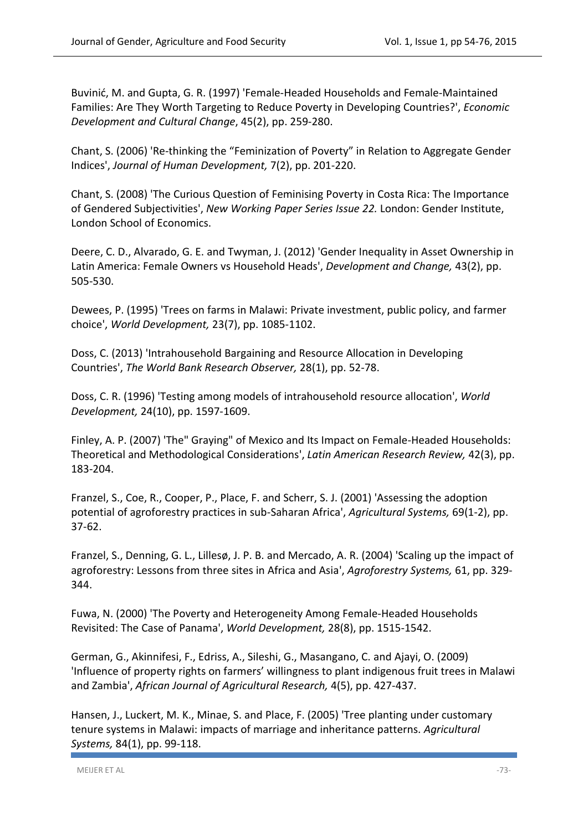<span id="page-19-1"></span>Buvinić, M. and Gupta, G. R. (1997) 'Female-Headed Households and Female-Maintained Families: Are They Worth Targeting to Reduce Poverty in Developing Countries?', *Economic Development and Cultural Change*, 45(2), pp. 259-280.

<span id="page-19-2"></span>Chant, S. (2006) 'Re‐thinking the "Feminization of Poverty" in Relation to Aggregate Gender Indices', *Journal of Human Development,* 7(2), pp. 201-220.

<span id="page-19-4"></span>Chant, S. (2008) 'The Curious Question of Feminising Poverty in Costa Rica: The Importance of Gendered Subjectivities', *New Working Paper Series Issue 22.* London: Gender Institute, London School of Economics.

<span id="page-19-0"></span>Deere, C. D., Alvarado, G. E. and Twyman, J. (2012) 'Gender Inequality in Asset Ownership in Latin America: Female Owners vs Household Heads', *Development and Change,* 43(2), pp. 505-530.

<span id="page-19-12"></span>Dewees, P. (1995) 'Trees on farms in Malawi: Private investment, public policy, and farmer choice', *World Development,* 23(7), pp. 1085-1102.

<span id="page-19-7"></span>Doss, C. (2013) 'Intrahousehold Bargaining and Resource Allocation in Developing Countries', *The World Bank Research Observer,* 28(1), pp. 52-78.

<span id="page-19-6"></span>Doss, C. R. (1996) 'Testing among models of intrahousehold resource allocation', *World Development,* 24(10), pp. 1597-1609.

<span id="page-19-3"></span>Finley, A. P. (2007) 'The" Graying" of Mexico and Its Impact on Female-Headed Households: Theoretical and Methodological Considerations', *Latin American Research Review,* 42(3), pp. 183-204.

<span id="page-19-10"></span>Franzel, S., Coe, R., Cooper, P., Place, F. and Scherr, S. J. (2001) 'Assessing the adoption potential of agroforestry practices in sub-Saharan Africa', *Agricultural Systems,* 69(1-2), pp. 37-62.

<span id="page-19-11"></span>Franzel, S., Denning, G. L., Lillesø, J. P. B. and Mercado, A. R. (2004) 'Scaling up the impact of agroforestry: Lessons from three sites in Africa and Asia', *Agroforestry Systems,* 61, pp. 329- 344.

<span id="page-19-5"></span>Fuwa, N. (2000) 'The Poverty and Heterogeneity Among Female-Headed Households Revisited: The Case of Panama', *World Development,* 28(8), pp. 1515-1542.

<span id="page-19-9"></span>German, G., Akinnifesi, F., Edriss, A., Sileshi, G., Masangano, C. and Ajayi, O. (2009) 'Influence of property rights on farmers' willingness to plant indigenous fruit trees in Malawi and Zambia', *African Journal of Agricultural Research,* 4(5), pp. 427-437.

<span id="page-19-8"></span>Hansen, J., Luckert, M. K., Minae, S. and Place, F. (2005) 'Tree planting under customary tenure systems in Malawi: impacts of marriage and inheritance patterns. *Agricultural Systems,* 84(1), pp. 99-118.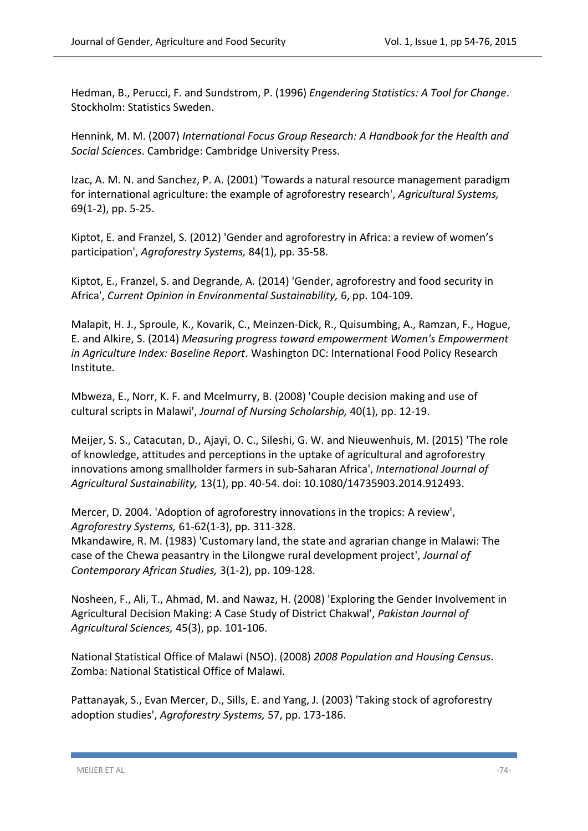<span id="page-20-2"></span>Hedman, B., Perucci, F. and Sundstrom, P. (1996) *Engendering Statistics: A Tool for Change*. Stockholm: Statistics Sweden.

<span id="page-20-7"></span>Hennink, M. M. (2007) *International Focus Group Research: A Handbook for the Health and Social Sciences*. Cambridge: Cambridge University Press.

<span id="page-20-0"></span>Izac, A. M. N. and Sanchez, P. A. (2001) 'Towards a natural resource management paradigm for international agriculture: the example of agroforestry research', *Agricultural Systems,* 69(1-2), pp. 5-25.

<span id="page-20-9"></span>Kiptot, E. and Franzel, S. (2012) 'Gender and agroforestry in Africa: a review of women's participation', *Agroforestry Systems,* 84(1), pp. 35-58.

<span id="page-20-1"></span>Kiptot, E., Franzel, S. and Degrande, A. (2014) 'Gender, agroforestry and food security in Africa', *Current Opinion in Environmental Sustainability,* 6, pp. 104-109.

<span id="page-20-3"></span>Malapit, H. J., Sproule, K., Kovarik, C., Meinzen-Dick, R., Quisumbing, A., Ramzan, F., Hogue, E. and Alkire, S. (2014) *Measuring progress toward empowerment Women's Empowerment in Agriculture Index: Baseline Report*. Washington DC: International Food Policy Research Institute.

<span id="page-20-8"></span>Mbweza, E., Norr, K. F. and Mcelmurry, B. (2008) 'Couple decision making and use of cultural scripts in Malawi', *Journal of Nursing Scholarship,* 40(1), pp. 12-19.

<span id="page-20-12"></span>Meijer, S. S., Catacutan, D., Ajayi, O. C., Sileshi, G. W. and Nieuwenhuis, M. (2015) 'The role of knowledge, attitudes and perceptions in the uptake of agricultural and agroforestry innovations among smallholder farmers in sub-Saharan Africa', *International Journal of Agricultural Sustainability,* 13(1), pp. 40-54. doi: 10.1080/14735903.2014.912493.

<span id="page-20-11"></span>Mercer, D. 2004. 'Adoption of agroforestry innovations in the tropics: A review', *Agroforestry Systems,* 61-62(1-3), pp. 311-328.

<span id="page-20-5"></span>Mkandawire, R. M. (1983) 'Customary land, the state and agrarian change in Malawi: The case of the Chewa peasantry in the Lilongwe rural development project', *Journal of Contemporary African Studies,* 3(1-2), pp. 109-128.

<span id="page-20-4"></span>Nosheen, F., Ali, T., Ahmad, M. and Nawaz, H. (2008) 'Exploring the Gender Involvement in Agricultural Decision Making: A Case Study of District Chakwal', *Pakistan Journal of Agricultural Sciences,* 45(3), pp. 101-106.

<span id="page-20-6"></span>National Statistical Office of Malawi (NSO). (2008) *2008 Population and Housing Census*. Zomba: National Statistical Office of Malawi.

<span id="page-20-10"></span>Pattanayak, S., Evan Mercer, D., Sills, E. and Yang, J. (2003) 'Taking stock of agroforestry adoption studies', *Agroforestry Systems,* 57, pp. 173-186.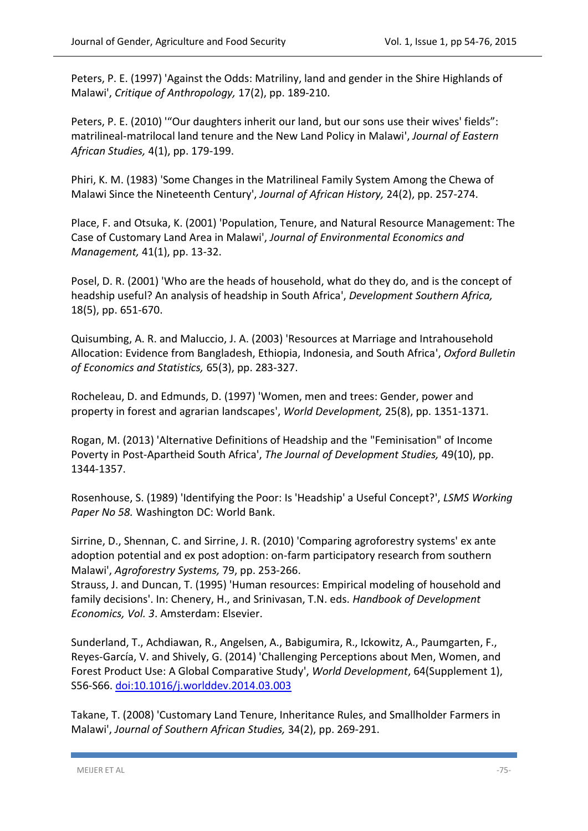<span id="page-21-9"></span>Peters, P. E. (1997) 'Against the Odds: Matriliny, land and gender in the Shire Highlands of Malawi', *Critique of Anthropology,* 17(2), pp. 189-210.

<span id="page-21-10"></span>Peters, P. E. (2010) "Our daughters inherit our land, but our sons use their wives' fields": matrilineal-matrilocal land tenure and the New Land Policy in Malawi', *Journal of Eastern African Studies,* 4(1), pp. 179-199.

<span id="page-21-8"></span>Phiri, K. M. (1983) 'Some Changes in the Matrilineal Family System Among the Chewa of Malawi Since the Nineteenth Century', *Journal of African History,* 24(2), pp. 257-274.

<span id="page-21-4"></span>Place, F. and Otsuka, K. (2001) 'Population, Tenure, and Natural Resource Management: The Case of Customary Land Area in Malawi', *Journal of Environmental Economics and Management,* 41(1), pp. 13-32.

<span id="page-21-1"></span>Posel, D. R. (2001) 'Who are the heads of household, what do they do, and is the concept of headship useful? An analysis of headship in South Africa', *Development Southern Africa,* 18(5), pp. 651-670.

<span id="page-21-7"></span>Quisumbing, A. R. and Maluccio, J. A. (2003) 'Resources at Marriage and Intrahousehold Allocation: Evidence from Bangladesh, Ethiopia, Indonesia, and South Africa', *Oxford Bulletin of Economics and Statistics,* 65(3), pp. 283-327.

<span id="page-21-3"></span>Rocheleau, D. and Edmunds, D. (1997) 'Women, men and trees: Gender, power and property in forest and agrarian landscapes', *World Development,* 25(8), pp. 1351-1371.

<span id="page-21-2"></span>Rogan, M. (2013) 'Alternative Definitions of Headship and the "Feminisation" of Income Poverty in Post-Apartheid South Africa', *The Journal of Development Studies,* 49(10), pp. 1344-1357.

<span id="page-21-0"></span>Rosenhouse, S. (1989) 'Identifying the Poor: Is 'Headship' a Useful Concept?', *LSMS Working Paper No 58.* Washington DC: World Bank.

<span id="page-21-11"></span>Sirrine, D., Shennan, C. and Sirrine, J. R. (2010) 'Comparing agroforestry systems' ex ante adoption potential and ex post adoption: on-farm participatory research from southern Malawi', *Agroforestry Systems,* 79, pp. 253-266.

<span id="page-21-6"></span>Strauss, J. and Duncan, T. (1995) 'Human resources: Empirical modeling of household and family decisions'. In: Chenery, H., and Srinivasan, T.N. eds. *Handbook of Development Economics, Vol. 3*. Amsterdam: Elsevier.

Sunderland, T., Achdiawan, R., Angelsen, A., Babigumira, R., Ickowitz, A., Paumgarten, F., Reyes-García, V. and Shively, G. (2014) 'Challenging Perceptions about Men, Women, and Forest Product Use: A Global Comparative Study', *World Development*, 64(Supplement 1), S56-S66. [doi:10.1016/j.worlddev.2014.03.003](http://dx.doi.org/10.1016/j.worlddev.2014.03.003)

<span id="page-21-5"></span>Takane, T. (2008) 'Customary Land Tenure, Inheritance Rules, and Smallholder Farmers in Malawi', *Journal of Southern African Studies,* 34(2), pp. 269-291.